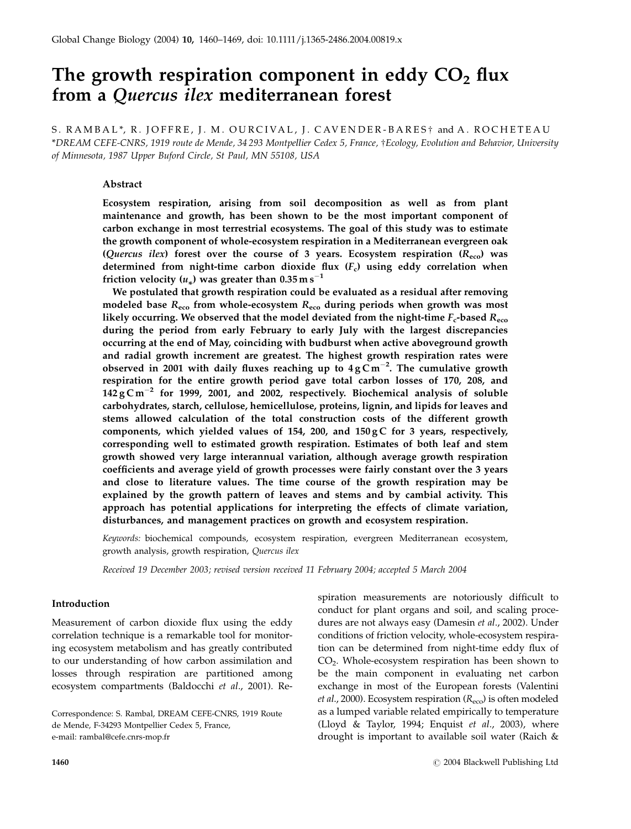# The growth respiration component in eddy  $CO<sub>2</sub>$  flux from a Quercus ilex mediterranean forest

S. RAMBAL\*, R. JOFFRE, J. M. OURCIVAL, J. CAVENDER-BARES<sup>†</sup> and A. ROCHETEAU \*DREAM CEFE-CNRS, 1919 route de Mende, 34 293 Montpellier Cedex 5, France, wEcology, Evolution and Behavior, University of Minnesota, 1987 Upper Buford Circle, St Paul, MN 55108, USA

## Abstract

Ecosystem respiration, arising from soil decomposition as well as from plant maintenance and growth, has been shown to be the most important component of carbon exchange in most terrestrial ecosystems. The goal of this study was to estimate the growth component of whole-ecosystem respiration in a Mediterranean evergreen oak (Quercus ilex) forest over the course of 3 years. Ecosystem respiration  $(R_{\text{eco}})$  was determined from night-time carbon dioxide flux  $(F<sub>c</sub>)$  using eddy correlation when friction velocity  $(u_x)$  was greater than 0.35 m s<sup>-1</sup>

We postulated that growth respiration could be evaluated as a residual after removing modeled base  $R_{\text{eco}}$  from whole-ecosystem  $R_{\text{eco}}$  during periods when growth was most likely occurring. We observed that the model deviated from the night-time  $F_c$ -based  $R_{\text{eco}}$ during the period from early February to early July with the largest discrepancies occurring at the end of May, coinciding with budburst when active aboveground growth and radial growth increment are greatest. The highest growth respiration rates were observed in 2001 with daily fluxes reaching up to  $4\,\mathrm{g\,C\,m}^{-2}$ . The cumulative growth respiration for the entire growth period gave total carbon losses of 170, 208, and  $142 g C m^{-2}$  for 1999, 2001, and 2002, respectively. Biochemical analysis of soluble carbohydrates, starch, cellulose, hemicellulose, proteins, lignin, and lipids for leaves and stems allowed calculation of the total construction costs of the different growth components, which yielded values of 154, 200, and  $150 \text{ gC}$  for 3 years, respectively, corresponding well to estimated growth respiration. Estimates of both leaf and stem growth showed very large interannual variation, although average growth respiration coefficients and average yield of growth processes were fairly constant over the 3 years and close to literature values. The time course of the growth respiration may be explained by the growth pattern of leaves and stems and by cambial activity. This approach has potential applications for interpreting the effects of climate variation, disturbances, and management practices on growth and ecosystem respiration.

Keywords: biochemical compounds, ecosystem respiration, evergreen Mediterranean ecosystem, growth analysis, growth respiration, Quercus ilex

Received 19 December 2003; revised version received 11 February 2004; accepted 5 March 2004

# Introduction

Measurement of carbon dioxide flux using the eddy correlation technique is a remarkable tool for monitoring ecosystem metabolism and has greatly contributed to our understanding of how carbon assimilation and losses through respiration are partitioned among ecosystem compartments (Baldocchi et al., 2001). Respiration measurements are notoriously difficult to conduct for plant organs and soil, and scaling procedures are not always easy (Damesin et al., 2002). Under conditions of friction velocity, whole-ecosystem respiration can be determined from night-time eddy flux of CO2. Whole-ecosystem respiration has been shown to be the main component in evaluating net carbon exchange in most of the European forests (Valentini *et al.*, 2000). Ecosystem respiration ( $R_{\text{eco}}$ ) is often modeled as a lumped variable related empirically to temperature (Lloyd & Taylor, 1994; Enquist et al., 2003), where drought is important to available soil water (Raich &

Correspondence: S. Rambal, DREAM CEFE-CNRS, 1919 Route de Mende, F-34293 Montpellier Cedex 5, France, e-mail: rambal@cefe.cnrs-mop.fr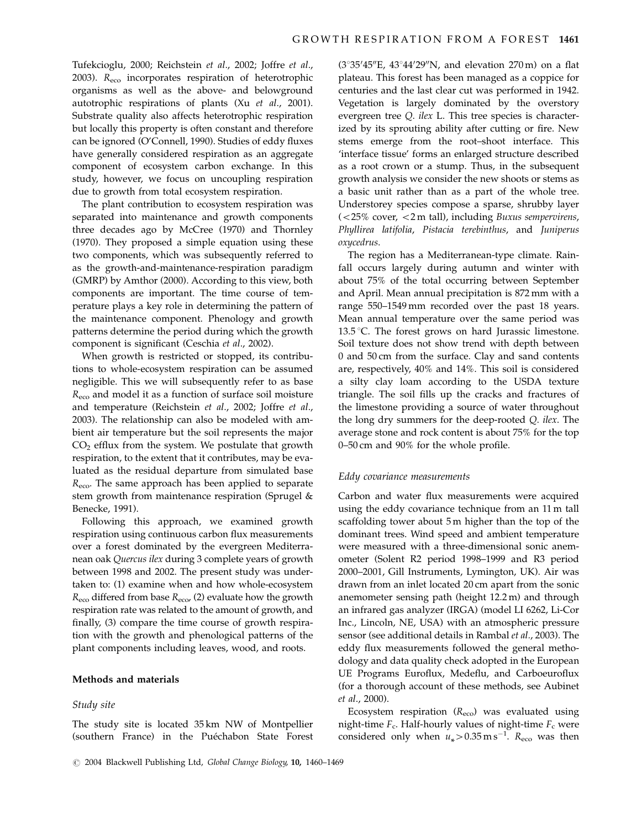Tufekcioglu, 2000; Reichstein et al., 2002; Joffre et al., 2003). R<sub>eco</sub> incorporates respiration of heterotrophic organisms as well as the above- and belowground autotrophic respirations of plants (Xu et al., 2001). Substrate quality also affects heterotrophic respiration but locally this property is often constant and therefore can be ignored (O'Connell, 1990). Studies of eddy fluxes have generally considered respiration as an aggregate component of ecosystem carbon exchange. In this study, however, we focus on uncoupling respiration due to growth from total ecosystem respiration.

The plant contribution to ecosystem respiration was separated into maintenance and growth components three decades ago by McCree (1970) and Thornley (1970). They proposed a simple equation using these two components, which was subsequently referred to as the growth-and-maintenance-respiration paradigm (GMRP) by Amthor (2000). According to this view, both components are important. The time course of temperature plays a key role in determining the pattern of the maintenance component. Phenology and growth patterns determine the period during which the growth component is significant (Ceschia et al., 2002).

When growth is restricted or stopped, its contributions to whole-ecosystem respiration can be assumed negligible. This we will subsequently refer to as base  $R_{\text{eco}}$  and model it as a function of surface soil moisture and temperature (Reichstein et al., 2002; Joffre et al., 2003). The relationship can also be modeled with ambient air temperature but the soil represents the major  $CO<sub>2</sub>$  efflux from the system. We postulate that growth respiration, to the extent that it contributes, may be evaluated as the residual departure from simulated base R<sub>eco</sub>. The same approach has been applied to separate stem growth from maintenance respiration (Sprugel & Benecke, 1991).

Following this approach, we examined growth respiration using continuous carbon flux measurements over a forest dominated by the evergreen Mediterranean oak Quercus ilex during 3 complete years of growth between 1998 and 2002. The present study was undertaken to: (1) examine when and how whole-ecosystem  $R_{\text{eco}}$  differed from base  $R_{\text{eco}}$  (2) evaluate how the growth respiration rate was related to the amount of growth, and finally, (3) compare the time course of growth respiration with the growth and phenological patterns of the plant components including leaves, wood, and roots.

#### Methods and materials

## Study site

The study site is located 35 km NW of Montpellier (southern France) in the Puéchabon State Forest

(3°35'45"E, 43°44'29"N, and elevation 270 m) on a flat plateau. This forest has been managed as a coppice for centuries and the last clear cut was performed in 1942. Vegetation is largely dominated by the overstory evergreen tree Q. ilex L. This tree species is characterized by its sprouting ability after cutting or fire. New stems emerge from the root–shoot interface. This 'interface tissue' forms an enlarged structure described as a root crown or a stump. Thus, in the subsequent growth analysis we consider the new shoots or stems as a basic unit rather than as a part of the whole tree. Understorey species compose a sparse, shrubby layer  $\langle$  <25% cover, <2 m tall), including Buxus sempervirens, Phyllirea latifolia, Pistacia terebinthus, and Juniperus oxycedrus.

The region has a Mediterranean-type climate. Rainfall occurs largely during autumn and winter with about 75% of the total occurring between September and April. Mean annual precipitation is 872 mm with a range 550–1549 mm recorded over the past 18 years. Mean annual temperature over the same period was 13.5 °C. The forest grows on hard Jurassic limestone. Soil texture does not show trend with depth between 0 and 50 cm from the surface. Clay and sand contents are, respectively, 40% and 14%. This soil is considered a silty clay loam according to the USDA texture triangle. The soil fills up the cracks and fractures of the limestone providing a source of water throughout the long dry summers for the deep-rooted Q. ilex. The average stone and rock content is about 75% for the top 0–50 cm and 90% for the whole profile.

## Eddy covariance measurements

Carbon and water flux measurements were acquired using the eddy covariance technique from an 11 m tall scaffolding tower about 5 m higher than the top of the dominant trees. Wind speed and ambient temperature were measured with a three-dimensional sonic anemometer (Solent R2 period 1998–1999 and R3 period 2000–2001, Gill Instruments, Lymington, UK). Air was drawn from an inlet located 20 cm apart from the sonic anemometer sensing path (height 12.2 m) and through an infrared gas analyzer (IRGA) (model LI 6262, Li-Cor Inc., Lincoln, NE, USA) with an atmospheric pressure sensor (see additional details in Rambal et al., 2003). The eddy flux measurements followed the general methodology and data quality check adopted in the European UE Programs Euroflux, Medeflu, and Carboeuroflux (for a thorough account of these methods, see Aubinet et al., 2000).

Ecosystem respiration  $(R_{\text{eco}})$  was evaluated using night-time  $F_c$ . Half-hourly values of night-time  $F_c$  were considered only when  $u_* > 0.35 \,\mathrm{m\,s}^{-1}$ .  $R_{\text{eco}}$  was then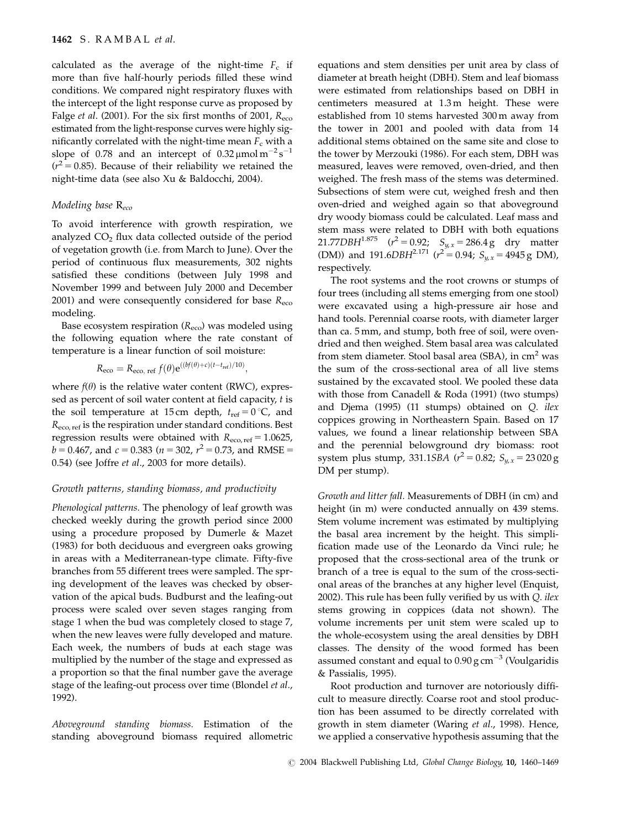calculated as the average of the night-time  $F_c$  if more than five half-hourly periods filled these wind conditions. We compared night respiratory fluxes with the intercept of the light response curve as proposed by Falge *et al.* (2001). For the six first months of 2001,  $R_{\text{eco}}$ estimated from the light-response curves were highly significantly correlated with the night-time mean  $F_c$  with a slope of 0.78 and an intercept of 0.32  $\mu$ mol m<sup>-2</sup> s<sup>-1</sup>  $(r^2 = 0.85)$ . Because of their reliability we retained the night-time data (see also Xu & Baldocchi, 2004).

# Modeling base R<sub>eco</sub>

To avoid interference with growth respiration, we analyzed  $CO<sub>2</sub>$  flux data collected outside of the period of vegetation growth (i.e. from March to June). Over the period of continuous flux measurements, 302 nights satisfied these conditions (between July 1998 and November 1999 and between July 2000 and December 2001) and were consequently considered for base  $R_{\text{eco}}$ modeling.

Base ecosystem respiration  $(R_{\text{eco}})$  was modeled using the following equation where the rate constant of temperature is a linear function of soil moisture:

$$
R_{\text{eco}} = R_{\text{eco, ref}} f(\theta) e^{((bf(\theta)+c)(t-t_{\text{ref}})/10)},
$$

where  $f(\theta)$  is the relative water content (RWC), expressed as percent of soil water content at field capacity, t is the soil temperature at 15 cm depth,  $t_{ref} = 0$  °C, and  $R_{\text{eco. ref}}$  is the respiration under standard conditions. Best regression results were obtained with  $R_{\text{eco. ref}} = 1.0625$ ,  $b = 0.467$ , and  $c = 0.383$  ( $n = 302$ ,  $r^2 = 0.73$ , and RMSE = 0.54) (see Joffre et al., 2003 for more details).

## Growth patterns, standing biomass, and productivity

Phenological patterns. The phenology of leaf growth was checked weekly during the growth period since 2000 using a procedure proposed by Dumerle & Mazet (1983) for both deciduous and evergreen oaks growing in areas with a Mediterranean-type climate. Fifty-five branches from 55 different trees were sampled. The spring development of the leaves was checked by observation of the apical buds. Budburst and the leafing-out process were scaled over seven stages ranging from stage 1 when the bud was completely closed to stage 7, when the new leaves were fully developed and mature. Each week, the numbers of buds at each stage was multiplied by the number of the stage and expressed as a proportion so that the final number gave the average stage of the leafing-out process over time (Blondel et al., 1992).

Aboveground standing biomass. Estimation of the standing aboveground biomass required allometric equations and stem densities per unit area by class of diameter at breath height (DBH). Stem and leaf biomass were estimated from relationships based on DBH in centimeters measured at 1.3 m height. These were established from 10 stems harvested 300 m away from the tower in 2001 and pooled with data from 14 additional stems obtained on the same site and close to the tower by Merzouki (1986). For each stem, DBH was measured, leaves were removed, oven-dried, and then weighed. The fresh mass of the stems was determined. Subsections of stem were cut, weighed fresh and then oven-dried and weighed again so that aboveground dry woody biomass could be calculated. Leaf mass and stem mass were related to DBH with both equations 21.77DBH $^{1.875}$  ( $r^2 = 0.92$ ;  $S_{y,x} = 286.4\,\text{g}$  dry matter (DM)) and 191.6DBH<sup>2.171</sup> ( $r^2 = 0.94$ ;  $S_{y.x} = 4945 \text{ g DM}$ ), respectively.

The root systems and the root crowns or stumps of four trees (including all stems emerging from one stool) were excavated using a high-pressure air hose and hand tools. Perennial coarse roots, with diameter larger than ca. 5 mm, and stump, both free of soil, were ovendried and then weighed. Stem basal area was calculated from stem diameter. Stool basal area  $(SBA)$ , in cm<sup>2</sup> was the sum of the cross-sectional area of all live stems sustained by the excavated stool. We pooled these data with those from Canadell & Roda (1991) (two stumps) and Djema (1995) (11 stumps) obtained on Q. ilex coppices growing in Northeastern Spain. Based on 17 values, we found a linear relationship between SBA and the perennial belowground dry biomass: root system plus stump, 331.1*SBA* ( $r^2 = 0.82$ ;  $S_{y.x} = 23\,020\,\text{g}$ DM per stump).

Growth and litter fall. Measurements of DBH (in cm) and height (in m) were conducted annually on 439 stems. Stem volume increment was estimated by multiplying the basal area increment by the height. This simplification made use of the Leonardo da Vinci rule; he proposed that the cross-sectional area of the trunk or branch of a tree is equal to the sum of the cross-sectional areas of the branches at any higher level (Enquist, 2002). This rule has been fully verified by us with Q. ilex stems growing in coppices (data not shown). The volume increments per unit stem were scaled up to the whole-ecosystem using the areal densities by DBH classes. The density of the wood formed has been assumed constant and equal to  $0.90$  g cm<sup>-3</sup> (Voulgaridis & Passialis, 1995).

Root production and turnover are notoriously difficult to measure directly. Coarse root and stool production has been assumed to be directly correlated with growth in stem diameter (Waring et al., 1998). Hence, we applied a conservative hypothesis assuming that the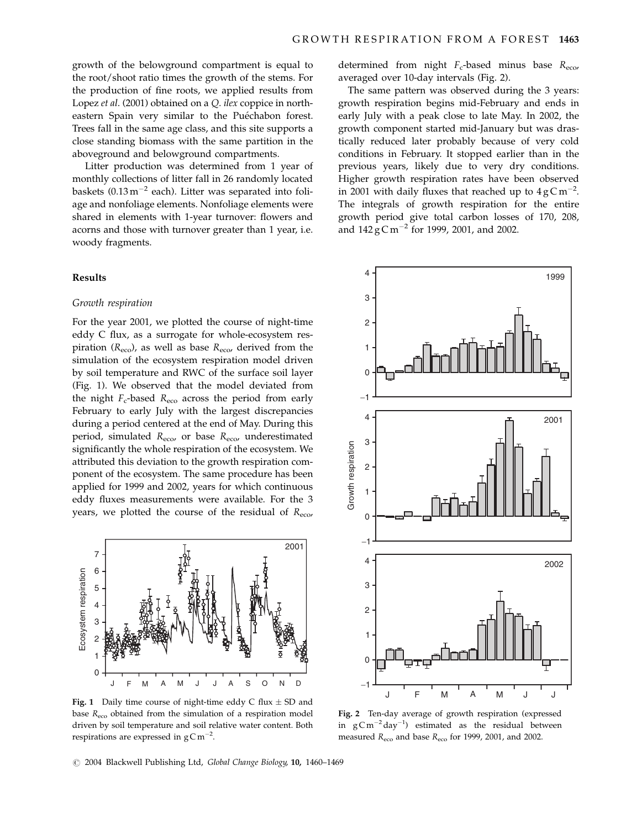growth of the belowground compartment is equal to the root/shoot ratio times the growth of the stems. For the production of fine roots, we applied results from Lopez et al. (2001) obtained on a Q. ilex coppice in northeastern Spain very similar to the Puéchabon forest. Trees fall in the same age class, and this site supports a close standing biomass with the same partition in the aboveground and belowground compartments.

Litter production was determined from 1 year of monthly collections of litter fall in 26 randomly located baskets  $(0.13 \,\mathrm{m}^{-2}$  each). Litter was separated into foliage and nonfoliage elements. Nonfoliage elements were shared in elements with 1-year turnover: flowers and acorns and those with turnover greater than 1 year, i.e. woody fragments.

#### Results

#### Growth respiration

For the year 2001, we plotted the course of night-time eddy C flux, as a surrogate for whole-ecosystem respiration  $(R_{\text{eco}})$ , as well as base  $R_{\text{eco}}$ , derived from the simulation of the ecosystem respiration model driven by soil temperature and RWC of the surface soil layer (Fig. 1). We observed that the model deviated from the night  $F_c$ -based  $R_{\text{eco}}$  across the period from early February to early July with the largest discrepancies during a period centered at the end of May. During this period, simulated  $R_{\text{eco}}$ , or base  $R_{\text{eco}}$ , underestimated significantly the whole respiration of the ecosystem. We attributed this deviation to the growth respiration component of the ecosystem. The same procedure has been applied for 1999 and 2002, years for which continuous eddy fluxes measurements were available. For the 3 years, we plotted the course of the residual of  $R_{\text{eco}}$ ,



**Fig. 1** Daily time course of night-time eddy C flux  $\pm$  SD and base  $R_{\text{eco}}$  obtained from the simulation of a respiration model driven by soil temperature and soil relative water content. Both respirations are expressed in  $\text{gC m}^{-2}$ .

determined from night  $F_c$ -based minus base  $R_{\text{eco}}$ , averaged over 10-day intervals (Fig. 2).

The same pattern was observed during the 3 years: growth respiration begins mid-February and ends in early July with a peak close to late May. In 2002, the growth component started mid-January but was drastically reduced later probably because of very cold conditions in February. It stopped earlier than in the previous years, likely due to very dry conditions. Higher growth respiration rates have been observed in 2001 with daily fluxes that reached up to  $4 \text{ g C m}^{-2}$ . The integrals of growth respiration for the entire growth period give total carbon losses of 170, 208, and  $142 \text{ g C m}^{-2}$  for 1999, 2001, and 2002.



Fig. 2 Ten-day average of growth respiration (expressed in  $gCm^{-2}day^{-1}$ ) estimated as the residual between measured  $R_{\text{eco}}$  and base  $R_{\text{eco}}$  for 1999, 2001, and 2002.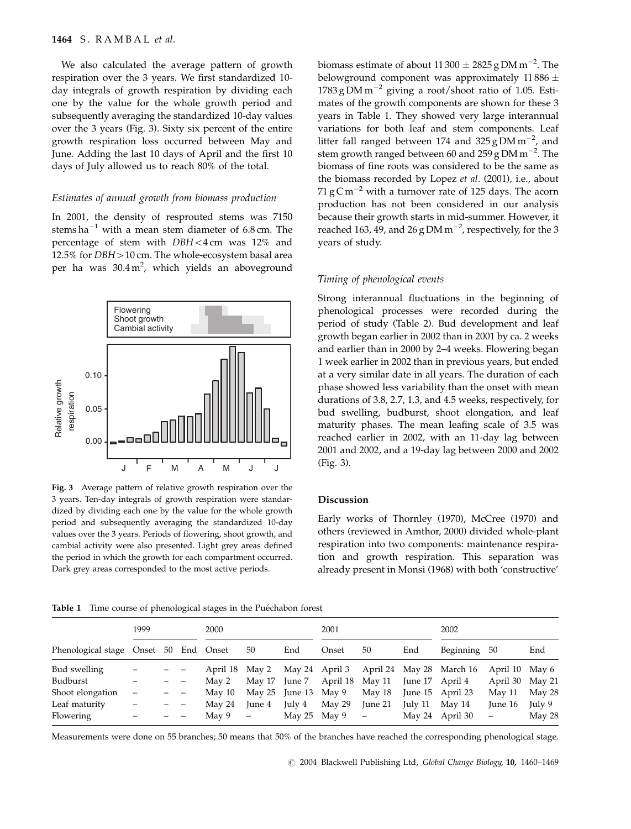## 1464 S. RAMBAL et al.

We also calculated the average pattern of growth respiration over the 3 years. We first standardized 10 day integrals of growth respiration by dividing each one by the value for the whole growth period and subsequently averaging the standardized 10-day values over the 3 years (Fig. 3). Sixty six percent of the entire growth respiration loss occurred between May and June. Adding the last 10 days of April and the first 10 days of July allowed us to reach 80% of the total.

#### Estimates of annual growth from biomass production

In 2001, the density of resprouted stems was 7150 stems ha<sup>-1</sup> with a mean stem diameter of 6.8 cm. The percentage of stem with  $DBH < 4$  cm was  $12\%$  and 12.5% for  $DBH > 10$  cm. The whole-ecosystem basal area per ha was 30.4m<sup>2</sup>, which yields an aboveground



Fig. 3 Average pattern of relative growth respiration over the 3 years. Ten-day integrals of growth respiration were standardized by dividing each one by the value for the whole growth period and subsequently averaging the standardized 10-day values over the 3 years. Periods of flowering, shoot growth, and cambial activity were also presented. Light grey areas defined the period in which the growth for each compartment occurred. Dark grey areas corresponded to the most active periods.

biomass estimate of about 11 300  $\pm$  2825 g DM m<sup>-2</sup>. The belowground component was approximately 11.886  $\pm$  $1783 \text{ g} \text{DM m}^{-2}$  giving a root/shoot ratio of 1.05. Estimates of the growth components are shown for these 3 years in Table 1. They showed very large interannual variations for both leaf and stem components. Leaf litter fall ranged between 174 and 325 g DM m<sup>-2</sup>, and stem growth ranged between 60 and 259 g DM m $^{-2}$ . The biomass of fine roots was considered to be the same as the biomass recorded by Lopez et al. (2001), i.e., about 71 g C m<sup> $-2$ </sup> with a turnover rate of 125 days. The acorn production has not been considered in our analysis because their growth starts in mid-summer. However, it reached 163, 49, and 26 g DM  $\mathrm{m}^{-2}$ , respectively, for the 3 years of study.

## Timing of phenological events

Strong interannual fluctuations in the beginning of phenological processes were recorded during the period of study (Table 2). Bud development and leaf growth began earlier in 2002 than in 2001 by ca. 2 weeks and earlier than in 2000 by 2–4 weeks. Flowering began 1 week earlier in 2002 than in previous years, but ended at a very similar date in all years. The duration of each phase showed less variability than the onset with mean durations of 3.8, 2.7, 1.3, and 4.5 weeks, respectively, for bud swelling, budburst, shoot elongation, and leaf maturity phases. The mean leafing scale of 3.5 was reached earlier in 2002, with an 11-day lag between 2001 and 2002, and a 19-day lag between 2000 and 2002 (Fig. 3).

#### Discussion

Early works of Thornley (1970), McCree (1970) and others (reviewed in Amthor, 2000) divided whole-plant respiration into two components: maintenance respiration and growth respiration. This separation was already present in Monsi (1968) with both 'constructive'

Table 1 Time course of phenological stages in the Puéchabon forest

|                                       | 1999                     |  |                          | 2000           |                          |                        | 2001                   |                          |                 | 2002                                    |                          |        |
|---------------------------------------|--------------------------|--|--------------------------|----------------|--------------------------|------------------------|------------------------|--------------------------|-----------------|-----------------------------------------|--------------------------|--------|
| Phenological stage Onset 50 End Onset |                          |  |                          |                | 50                       | End                    | Onset                  | 50                       | End             | Beginning 50                            |                          | End    |
| Bud swelling                          |                          |  |                          | April 18 May 2 |                          |                        |                        |                          |                 | May 24 April 3 April 24 May 28 March 16 | April 10 May 6           |        |
| Budburst                              |                          |  | $\overline{\phantom{m}}$ | May 2          | May 17                   |                        | June 7 April 18 May 11 |                          | June 17 April 4 |                                         | April 30 May 21          |        |
| Shoot elongation                      | $\overline{\phantom{m}}$ |  | $\overline{\phantom{m}}$ | May 10         |                          | May $25$ June 13 May 9 |                        | May 18                   |                 | June 15 April 23                        | May 11                   | May 28 |
| Leaf maturity                         |                          |  | $\overline{\phantom{m}}$ | May 24         | June 4                   | July 4                 | May 29                 | June 21                  | July 11         | May 14                                  | June 16                  | July 9 |
| Flowering                             |                          |  |                          | May 9          | $\overline{\phantom{0}}$ | May $25$ May 9         |                        | $\overline{\phantom{m}}$ |                 | May 24 April 30                         | $\overline{\phantom{0}}$ | May 28 |

Measurements were done on 55 branches; 50 means that 50% of the branches have reached the corresponding phenological stage.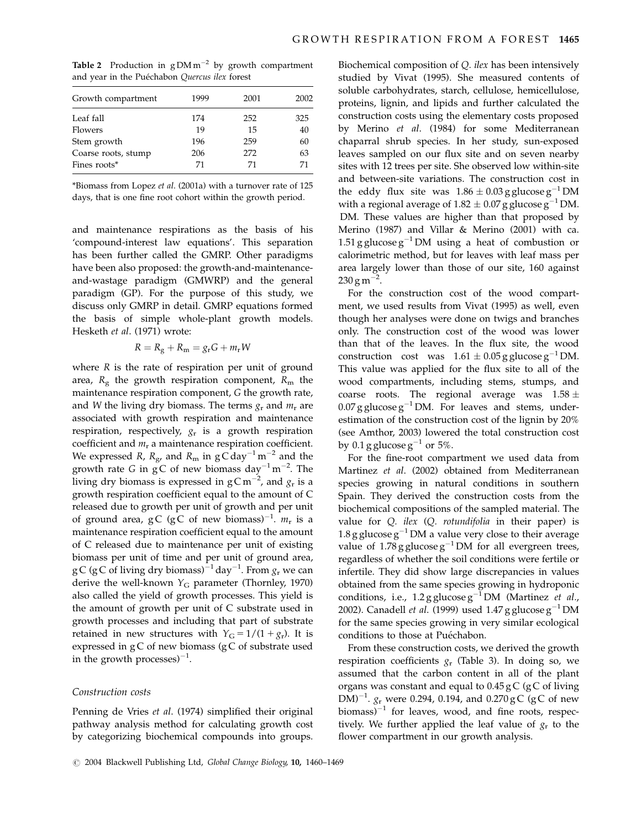Table 2 Production in  $g DM m^{-2}$  by growth compartment and year in the Puéchabon Quercus ilex forest

| Growth compartment  | 1999 | 2001 | 2002 |
|---------------------|------|------|------|
| Leaf fall           | 174  | 252  | 325  |
| Flowers             | 19   | 15   | 40   |
| Stem growth         | 196  | 259  | 60   |
| Coarse roots, stump | 206  | 272  | 63   |
| Fines roots*        | 71   | 71   | 71   |

\*Biomass from Lopez et al. (2001a) with a turnover rate of 125 days, that is one fine root cohort within the growth period.

and maintenance respirations as the basis of his 'compound-interest law equations'. This separation has been further called the GMRP. Other paradigms have been also proposed: the growth-and-maintenanceand-wastage paradigm (GMWRP) and the general paradigm (GP). For the purpose of this study, we discuss only GMRP in detail. GMRP equations formed the basis of simple whole-plant growth models. Hesketh et al. (1971) wrote:

$$
R = R_g + R_m = g_r G + m_r W
$$

where  $R$  is the rate of respiration per unit of ground area,  $R_{\rm g}$  the growth respiration component,  $R_{\rm m}$  the maintenance respiration component, G the growth rate, and W the living dry biomass. The terms  $g_r$  and  $m_r$  are associated with growth respiration and maintenance respiration, respectively,  $g_r$  is a growth respiration coefficient and  $m_r$  a maintenance respiration coefficient. We expressed R,  $R_{\rm g}$ , and  $R_{\rm m}$  in  $\rm g$ C day<sup>-1</sup> m<sup>-2</sup> and the growth rate G in  $\rm gC$  of new biomass day<sup>-1</sup> m<sup>-2</sup>. The living dry biomass is expressed in  $\rm g\,C\,m^{-2}$ , and  $\rm g_r$  is a growth respiration coefficient equal to the amount of C released due to growth per unit of growth and per unit of ground area,  $gC$  ( $gC$  of new biomass)<sup>-1</sup>.  $m_r$  is a maintenance respiration coefficient equal to the amount of C released due to maintenance per unit of existing biomass per unit of time and per unit of ground area, g C (g C of living dry biomass) $^{-1}$  day $^{-1}$ . From  $g_\mathrm{r}$  we can derive the well-known  $Y_G$  parameter (Thornley, 1970) also called the yield of growth processes. This yield is the amount of growth per unit of C substrate used in growth processes and including that part of substrate retained in new structures with  $Y_G = 1/(1 + g_r)$ . It is expressed in  $gC$  of new biomass  $(gC)$  of substrate used in the growth processes) $^{-1}$ .

# Construction costs

Penning de Vries et al. (1974) simplified their original pathway analysis method for calculating growth cost by categorizing biochemical compounds into groups. Biochemical composition of Q. ilex has been intensively studied by Vivat (1995). She measured contents of soluble carbohydrates, starch, cellulose, hemicellulose, proteins, lignin, and lipids and further calculated the construction costs using the elementary costs proposed by Merino et al. (1984) for some Mediterranean chaparral shrub species. In her study, sun-exposed leaves sampled on our flux site and on seven nearby sites with 12 trees per site. She observed low within-site and between-site variations. The construction cost in the eddy flux site was  $1.86 \pm 0.03$  g glucose g<sup>-1</sup> DM with a regional average of  $1.82 \pm 0.07$  g glucose g<sup>-1</sup> DM. DM. These values are higher than that proposed by Merino (1987) and Villar & Merino (2001) with ca. 1.51 g glucose  $g^{-1}$  DM using a heat of combustion or calorimetric method, but for leaves with leaf mass per area largely lower than those of our site, 160 against  $230\,\mathrm{g\,m}^{-2}$ .

For the construction cost of the wood compartment, we used results from Vivat (1995) as well, even though her analyses were done on twigs and branches only. The construction cost of the wood was lower than that of the leaves. In the flux site, the wood construction cost was  $1.61 \pm 0.05$  g glucose g<sup>-1</sup> DM. This value was applied for the flux site to all of the wood compartments, including stems, stumps, and coarse roots. The regional average was 1.58  $\pm$  $0.07$  g glucose g<sup>-1</sup> DM. For leaves and stems, underestimation of the construction cost of the lignin by 20% (see Amthor, 2003) lowered the total construction cost by 0.1 g glucose  $g^{-1}$  or 5%.

For the fine-root compartment we used data from Martinez et al. (2002) obtained from Mediterranean species growing in natural conditions in southern Spain. They derived the construction costs from the biochemical compositions of the sampled material. The value for  $Q$ . ilex  $(Q$ . rotundifolia in their paper) is 1.8 g glucose  $g^{-1}$  DM a value very close to their average value of  $1.78$  g glucose  $g^{-1}$  DM for all evergreen trees, regardless of whether the soil conditions were fertile or infertile. They did show large discrepancies in values obtained from the same species growing in hydroponic conditions, i.e.,  $1.2$  g glucose  $g^{-1}$  DM (Martinez *et al.*, 2002). Canadell *et al.* (1999) used 1.47 g glucose  $g^{-1}$  DM for the same species growing in very similar ecological conditions to those at Puéchabon.

From these construction costs, we derived the growth respiration coefficients  $g_r$  (Table 3). In doing so, we assumed that the carbon content in all of the plant organs was constant and equal to  $0.45\,\text{gC}$  (gC of living DM)<sup>-1</sup>.  $g_r$  were 0.294, 0.194, and 0.270 g C (g C of new biomass)<sup>-1</sup> for leaves, wood, and fine roots, respectively. We further applied the leaf value of  $g_r$  to the flower compartment in our growth analysis.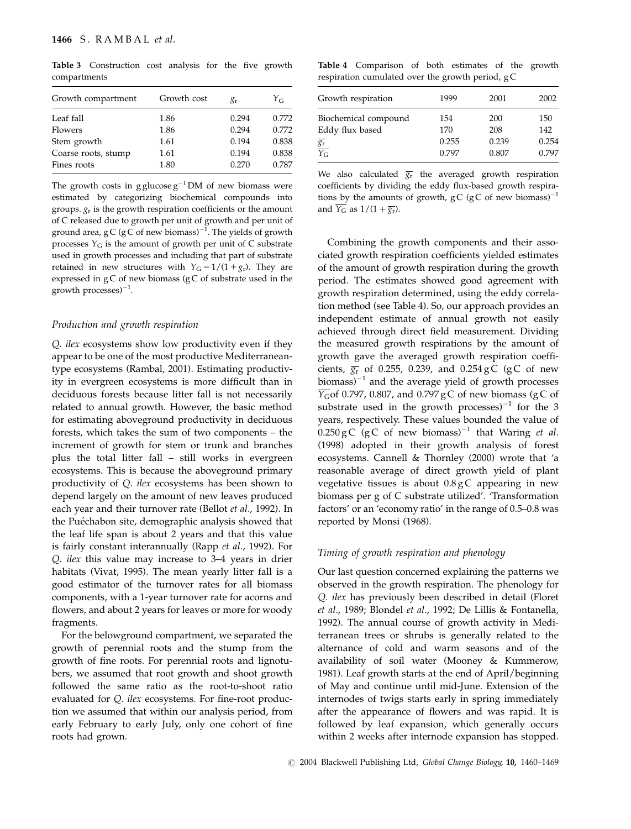Table 3 Construction cost analysis for the five growth compartments

| Growth compartment  | Growth cost | $g_{\rm r}$ | $Y_{G}$ |
|---------------------|-------------|-------------|---------|
| Leaf fall           | 1.86        | 0.294       | 0.772   |
| Flowers             | 1.86        | 0.294       | 0.772   |
| Stem growth         | 1.61        | 0.194       | 0.838   |
| Coarse roots, stump | 1.61        | 0.194       | 0.838   |
| Fines roots         | 1.80        | 0.270       | 0.787   |

The growth costs in g glucose  $g^{-1}$  DM of new biomass were estimated by categorizing biochemical compounds into groups.  $g_r$  is the growth respiration coefficients or the amount of C released due to growth per unit of growth and per unit of ground area, g C (g C of new biomass) $^{-1}$ . The yields of growth processes  $Y_{\rm G}$  is the amount of growth per unit of C substrate used in growth processes and including that part of substrate retained in new structures with  $Y_G = 1/(1 + g_r)$ . They are expressed in g C of new biomass (g C of substrate used in the growth processes) $^{-1}$ .

#### Production and growth respiration

Q. ilex ecosystems show low productivity even if they appear to be one of the most productive Mediterraneantype ecosystems (Rambal, 2001). Estimating productivity in evergreen ecosystems is more difficult than in deciduous forests because litter fall is not necessarily related to annual growth. However, the basic method for estimating aboveground productivity in deciduous forests, which takes the sum of two components – the increment of growth for stem or trunk and branches plus the total litter fall – still works in evergreen ecosystems. This is because the aboveground primary productivity of Q. ilex ecosystems has been shown to depend largely on the amount of new leaves produced each year and their turnover rate (Bellot et al., 1992). In the Puéchabon site, demographic analysis showed that the leaf life span is about 2 years and that this value is fairly constant interannually (Rapp et al., 1992). For Q. ilex this value may increase to 3–4 years in drier habitats (Vivat, 1995). The mean yearly litter fall is a good estimator of the turnover rates for all biomass components, with a 1-year turnover rate for acorns and flowers, and about 2 years for leaves or more for woody fragments.

For the belowground compartment, we separated the growth of perennial roots and the stump from the growth of fine roots. For perennial roots and lignotubers, we assumed that root growth and shoot growth followed the same ratio as the root-to-shoot ratio evaluated for Q. ilex ecosystems. For fine-root production we assumed that within our analysis period, from early February to early July, only one cohort of fine roots had grown.

Table 4 Comparison of both estimates of the growth respiration cumulated over the growth period, g C

| Growth respiration                      | 1999  | 2001  | 2002  |
|-----------------------------------------|-------|-------|-------|
| Biochemical compound                    | 154   | 200   | 150   |
| Eddy flux based                         | 170   | 208   | 142   |
|                                         | 0.255 | 0.239 | 0.254 |
| $\frac{\overline{g_r}}{\overline{Y_G}}$ | 0.797 | 0.807 | 0.797 |

We also calculated  $\overline{g_r}$  the averaged growth respiration coefficients by dividing the eddy flux-based growth respirations by the amounts of growth,  $gC$  ( $gC$  of new biomass)<sup>-1</sup> and  $Y_G$  as  $1/(1 + \overline{g_r})$ .

Combining the growth components and their associated growth respiration coefficients yielded estimates of the amount of growth respiration during the growth period. The estimates showed good agreement with growth respiration determined, using the eddy correlation method (see Table 4). So, our approach provides an independent estimate of annual growth not easily achieved through direct field measurement. Dividing the measured growth respirations by the amount of growth gave the averaged growth respiration coefficients,  $\overline{g_r}$  of 0.255, 0.239, and 0.254 gC (gC of new biomass) $^{-1}$  and the average yield of growth processes  $\overline{Y_{\rm G}}$ of 0.797, 0.807, and 0.797 g C of new biomass (g C of substrate used in the growth processes)<sup>-1</sup> for the 3 years, respectively. These values bounded the value of  $0.250\,\text{gC}$  (gC of new biomass)<sup>-1</sup> that Waring *et al.* (1998) adopted in their growth analysis of forest ecosystems. Cannell & Thornley (2000) wrote that 'a reasonable average of direct growth yield of plant vegetative tissues is about  $0.8 gC$  appearing in new biomass per g of C substrate utilized'. 'Transformation factors' or an 'economy ratio' in the range of 0.5–0.8 was reported by Monsi (1968).

#### Timing of growth respiration and phenology

Our last question concerned explaining the patterns we observed in the growth respiration. The phenology for Q. ilex has previously been described in detail (Floret et al., 1989; Blondel et al., 1992; De Lillis & Fontanella, 1992). The annual course of growth activity in Mediterranean trees or shrubs is generally related to the alternance of cold and warm seasons and of the availability of soil water (Mooney & Kummerow, 1981). Leaf growth starts at the end of April/beginning of May and continue until mid-June. Extension of the internodes of twigs starts early in spring immediately after the appearance of flowers and was rapid. It is followed by leaf expansion, which generally occurs within 2 weeks after internode expansion has stopped.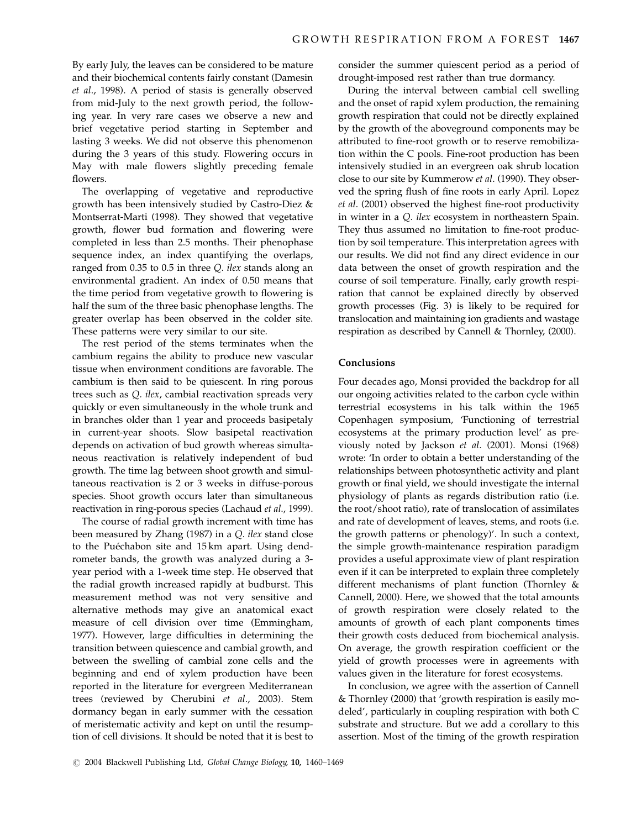By early July, the leaves can be considered to be mature and their biochemical contents fairly constant (Damesin et al., 1998). A period of stasis is generally observed from mid-July to the next growth period, the following year. In very rare cases we observe a new and brief vegetative period starting in September and lasting 3 weeks. We did not observe this phenomenon during the 3 years of this study. Flowering occurs in May with male flowers slightly preceding female flowers.

The overlapping of vegetative and reproductive growth has been intensively studied by Castro-Diez & Montserrat-Marti (1998). They showed that vegetative growth, flower bud formation and flowering were completed in less than 2.5 months. Their phenophase sequence index, an index quantifying the overlaps, ranged from 0.35 to 0.5 in three Q. ilex stands along an environmental gradient. An index of 0.50 means that the time period from vegetative growth to flowering is half the sum of the three basic phenophase lengths. The greater overlap has been observed in the colder site. These patterns were very similar to our site.

The rest period of the stems terminates when the cambium regains the ability to produce new vascular tissue when environment conditions are favorable. The cambium is then said to be quiescent. In ring porous trees such as Q. ilex, cambial reactivation spreads very quickly or even simultaneously in the whole trunk and in branches older than 1 year and proceeds basipetaly in current-year shoots. Slow basipetal reactivation depends on activation of bud growth whereas simultaneous reactivation is relatively independent of bud growth. The time lag between shoot growth and simultaneous reactivation is 2 or 3 weeks in diffuse-porous species. Shoot growth occurs later than simultaneous reactivation in ring-porous species (Lachaud et al., 1999).

The course of radial growth increment with time has been measured by Zhang (1987) in a Q. ilex stand close to the Puéchabon site and 15 km apart. Using dendrometer bands, the growth was analyzed during a 3 year period with a 1-week time step. He observed that the radial growth increased rapidly at budburst. This measurement method was not very sensitive and alternative methods may give an anatomical exact measure of cell division over time (Emmingham, 1977). However, large difficulties in determining the transition between quiescence and cambial growth, and between the swelling of cambial zone cells and the beginning and end of xylem production have been reported in the literature for evergreen Mediterranean trees (reviewed by Cherubini et al., 2003). Stem dormancy began in early summer with the cessation of meristematic activity and kept on until the resumption of cell divisions. It should be noted that it is best to consider the summer quiescent period as a period of drought-imposed rest rather than true dormancy.

During the interval between cambial cell swelling and the onset of rapid xylem production, the remaining growth respiration that could not be directly explained by the growth of the aboveground components may be attributed to fine-root growth or to reserve remobilization within the C pools. Fine-root production has been intensively studied in an evergreen oak shrub location close to our site by Kummerow et al. (1990). They observed the spring flush of fine roots in early April. Lopez et al. (2001) observed the highest fine-root productivity in winter in a Q. ilex ecosystem in northeastern Spain. They thus assumed no limitation to fine-root production by soil temperature. This interpretation agrees with our results. We did not find any direct evidence in our data between the onset of growth respiration and the course of soil temperature. Finally, early growth respiration that cannot be explained directly by observed growth processes (Fig. 3) is likely to be required for translocation and maintaining ion gradients and wastage respiration as described by Cannell & Thornley, (2000).

# Conclusions

Four decades ago, Monsi provided the backdrop for all our ongoing activities related to the carbon cycle within terrestrial ecosystems in his talk within the 1965 Copenhagen symposium, 'Functioning of terrestrial ecosystems at the primary production level' as previously noted by Jackson et al. (2001). Monsi (1968) wrote: 'In order to obtain a better understanding of the relationships between photosynthetic activity and plant growth or final yield, we should investigate the internal physiology of plants as regards distribution ratio (i.e. the root/shoot ratio), rate of translocation of assimilates and rate of development of leaves, stems, and roots (i.e. the growth patterns or phenology)'. In such a context, the simple growth-maintenance respiration paradigm provides a useful approximate view of plant respiration even if it can be interpreted to explain three completely different mechanisms of plant function (Thornley & Cannell, 2000). Here, we showed that the total amounts of growth respiration were closely related to the amounts of growth of each plant components times their growth costs deduced from biochemical analysis. On average, the growth respiration coefficient or the yield of growth processes were in agreements with values given in the literature for forest ecosystems.

In conclusion, we agree with the assertion of Cannell & Thornley (2000) that 'growth respiration is easily modeled', particularly in coupling respiration with both C substrate and structure. But we add a corollary to this assertion. Most of the timing of the growth respiration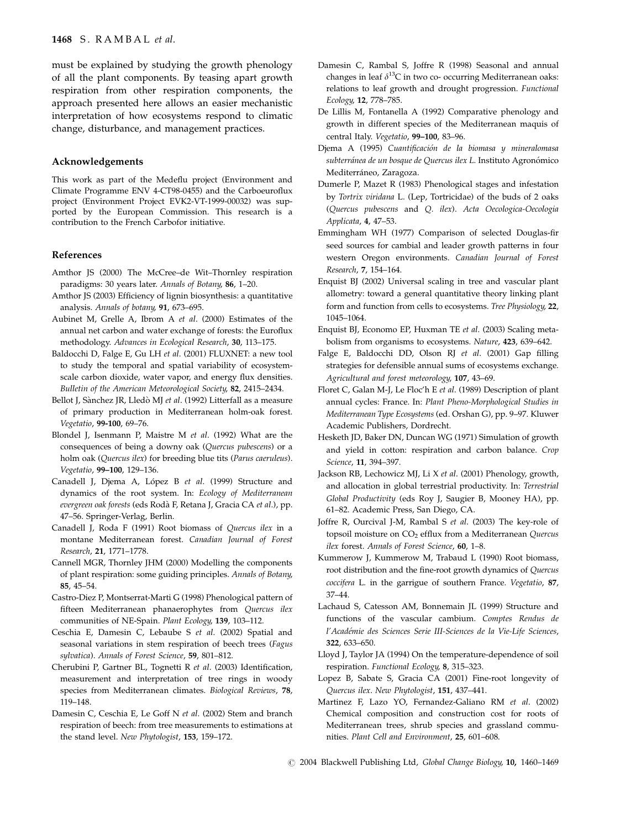must be explained by studying the growth phenology of all the plant components. By teasing apart growth respiration from other respiration components, the approach presented here allows an easier mechanistic interpretation of how ecosystems respond to climatic change, disturbance, and management practices.

## Acknowledgements

This work as part of the Medeflu project (Environment and Climate Programme ENV 4-CT98-0455) and the Carboeuroflux project (Environment Project EVK2-VT-1999-00032) was supported by the European Commission. This research is a contribution to the French Carbofor initiative.

## References

- Amthor JS (2000) The McCree–de Wit–Thornley respiration paradigms: 30 years later. Annals of Botany, 86, 1–20.
- Amthor JS (2003) Efficiency of lignin biosynthesis: a quantitative analysis. Annals of botany, 91, 673–695.
- Aubinet M, Grelle A, Ibrom A et al. (2000) Estimates of the annual net carbon and water exchange of forests: the Euroflux methodology. Advances in Ecological Research, 30, 113–175.
- Baldocchi D, Falge E, Gu LH et al. (2001) FLUXNET: a new tool to study the temporal and spatial variability of ecosystemscale carbon dioxide, water vapor, and energy flux densities. Bulletin of the American Meteorological Society, 82, 2415–2434.
- Bellot J, Sànchez JR, Lledò MJ et al. (1992) Litterfall as a measure of primary production in Mediterranean holm-oak forest. Vegetatio, 99-100, 69–76.
- Blondel J, Isenmann P, Maistre M et al. (1992) What are the consequences of being a downy oak (Quercus pubescens) or a holm oak (Quercus ilex) for breeding blue tits (Parus caeruleus). Vegetatio, 99–100, 129–136.
- Canadell J, Djema A, López B et al. (1999) Structure and dynamics of the root system. In: Ecology of Mediterranean evergreen oak forests (eds Rodà F, Retana J, Gracia CA et al.), pp. 47–56. Springer-Verlag, Berlin.
- Canadell J, Roda F (1991) Root biomass of Quercus ilex in a montane Mediterranean forest. Canadian Journal of Forest Research, 21, 1771–1778.
- Cannell MGR, Thornley JHM (2000) Modelling the components of plant respiration: some guiding principles. Annals of Botany, 85, 45–54.
- Castro-Diez P, Montserrat-Marti G (1998) Phenological pattern of fifteen Mediterranean phanaerophytes from Quercus ilex communities of NE-Spain. Plant Ecology, 139, 103–112.
- Ceschia E, Damesin C, Lebaube S et al. (2002) Spatial and seasonal variations in stem respiration of beech trees (Fagus sylvatica). Annals of Forest Science, 59, 801–812.
- Cherubini P, Gartner BL, Tognetti R et al. (2003) Identification, measurement and interpretation of tree rings in woody species from Mediterranean climates. Biological Reviews, 78, 119–148.
- Damesin C, Ceschia E, Le Goff N et al. (2002) Stem and branch respiration of beech: from tree measurements to estimations at the stand level. New Phytologist, 153, 159–172.
- Damesin C, Rambal S, Joffre R (1998) Seasonal and annual changes in leaf  $\delta^{13}C$  in two co- occurring Mediterranean oaks: relations to leaf growth and drought progression. Functional Ecology, 12, 778–785.
- De Lillis M, Fontanella A (1992) Comparative phenology and growth in different species of the Mediterranean maquis of central Italy. Vegetatio, 99–100, 83–96.
- Djema A (1995) Cuantificación de la biomasa y mineralomasa subterránea de un bosque de Quercus ilex L. Instituto Agronómico Mediterráneo, Zaragoza.
- Dumerle P, Mazet R (1983) Phenological stages and infestation by Tortrix viridana L. (Lep, Tortricidae) of the buds of 2 oaks (Quercus pubescens and Q. ilex). Acta Oecologica-Oecologia Applicata, 4, 47–53.
- Emmingham WH (1977) Comparison of selected Douglas-fir seed sources for cambial and leader growth patterns in four western Oregon environments. Canadian Journal of Forest Research, 7, 154–164.
- Enquist BJ (2002) Universal scaling in tree and vascular plant allometry: toward a general quantitative theory linking plant form and function from cells to ecosystems. Tree Physiology, 22, 1045–1064.
- Enquist BJ, Economo EP, Huxman TE et al. (2003) Scaling metabolism from organisms to ecosystems. Nature, 423, 639–642.
- Falge E, Baldocchi DD, Olson RJ et al. (2001) Gap filling strategies for defensible annual sums of ecosystems exchange. Agricultural and forest meteorology, 107, 43–69.
- Floret C, Galan M-J, Le Floc'h E et al. (1989) Description of plant annual cycles: France. In: Plant Pheno-Morphological Studies in Mediterranean Type Ecosystems (ed. Orshan G), pp. 9–97. Kluwer Academic Publishers, Dordrecht.
- Hesketh JD, Baker DN, Duncan WG (1971) Simulation of growth and yield in cotton: respiration and carbon balance. Crop Science, 11, 394–397.
- Jackson RB, Lechowicz MJ, Li X et al. (2001) Phenology, growth, and allocation in global terrestrial productivity. In: Terrestrial Global Productivity (eds Roy J, Saugier B, Mooney HA), pp. 61–82. Academic Press, San Diego, CA.
- Joffre R, Ourcival J-M, Rambal S et al. (2003) The key-role of topsoil moisture on CO<sub>2</sub> efflux from a Mediterranean Quercus ilex forest. Annals of Forest Science, 60, 1–8.
- Kummerow J, Kummerow M, Trabaud L (1990) Root biomass, root distribution and the fine-root growth dynamics of Quercus coccifera L. in the garrigue of southern France. Vegetatio, 87, 37–44.
- Lachaud S, Catesson AM, Bonnemain JL (1999) Structure and functions of the vascular cambium. Comptes Rendus de l'Académie des Sciences Serie III-Sciences de la Vie-Life Sciences, 322, 633–650.
- Lloyd J, Taylor JA (1994) On the temperature-dependence of soil respiration. Functional Ecology, 8, 315–323.
- Lopez B, Sabate S, Gracia CA (2001) Fine-root longevity of Quercus ilex. New Phytologist, 151, 437–441.
- Martinez F, Lazo YO, Fernandez-Galiano RM et al. (2002) Chemical composition and construction cost for roots of Mediterranean trees, shrub species and grassland communities. Plant Cell and Environment, 25, 601–608.